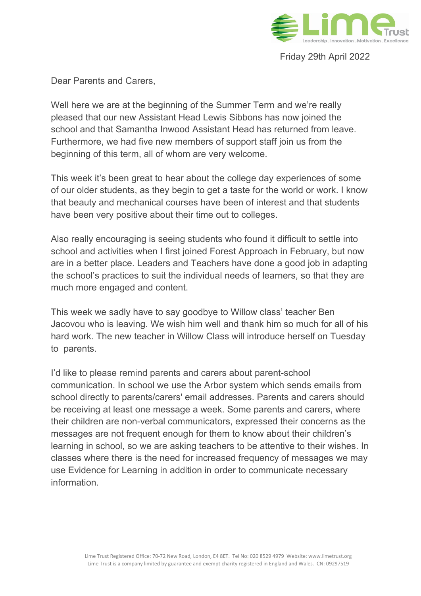

Friday 29th April 2022

Dear Parents and Carers,

Well here we are at the beginning of the Summer Term and we're really pleased that our new Assistant Head Lewis Sibbons has now joined the school and that Samantha Inwood Assistant Head has returned from leave. Furthermore, we had five new members of support staff join us from the beginning of this term, all of whom are very welcome.

This week it's been great to hear about the college day experiences of some of our older students, as they begin to get a taste for the world or work. I know that beauty and mechanical courses have been of interest and that students have been very positive about their time out to colleges.

Also really encouraging is seeing students who found it difficult to settle into school and activities when I first joined Forest Approach in February, but now are in a better place. Leaders and Teachers have done a good job in adapting the school's practices to suit the individual needs of learners, so that they are much more engaged and content.

This week we sadly have to say goodbye to Willow class' teacher Ben Jacovou who is leaving. We wish him well and thank him so much for all of his hard work. The new teacher in Willow Class will introduce herself on Tuesday to parents.

I'd like to please remind parents and carers about parent-school communication. In school we use the Arbor system which sends emails from school directly to parents/carers' email addresses. Parents and carers should be receiving at least one message a week. Some parents and carers, where their children are non-verbal communicators, expressed their concerns as the messages are not frequent enough for them to know about their children's learning in school, so we are asking teachers to be attentive to their wishes. In classes where there is the need for increased frequency of messages we may use Evidence for Learning in addition in order to communicate necessary information.